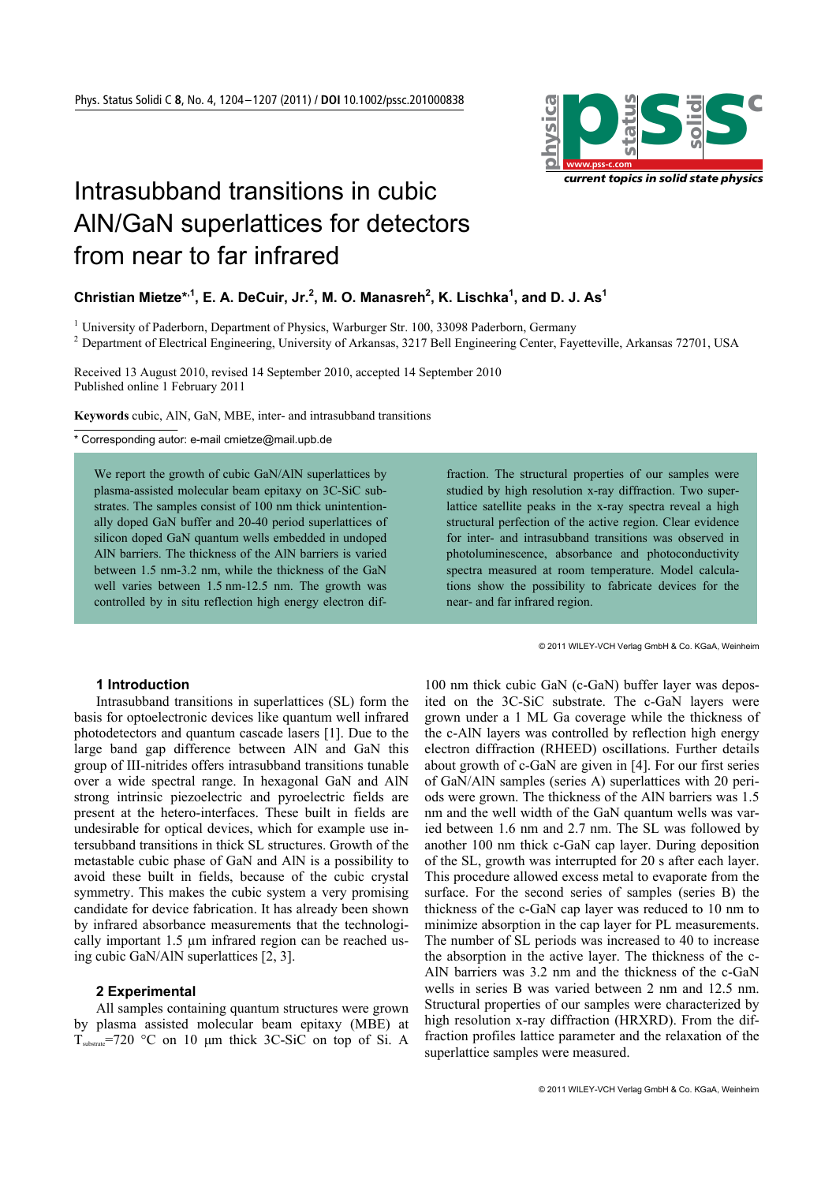

# Intrasubband transitions in cubic AlN/GaN superlattices for detectors from near to far infrared

# Christian Mietze\*<sup>,1</sup>, E. A. DeCuir, Jr.<sup>2</sup>, M. O. Manasreh<sup>2</sup>, K. Lischka<sup>1</sup>, and D. J. As<sup>1</sup>

<sup>1</sup> University of Paderborn, Department of Physics, Warburger Str. 100, 33098 Paderborn, Germany 2.<br><sup>2</sup> Department of Electrical Engineering, University of Arkansas, 2217 Pall Engineering Center, Fou

Department of Electrical Engineering, University of Arkansas, 3217 Bell Engineering Center, Fayetteville, Arkansas 72701, USA

Received 13 August 2010, revised 14 September 2010, accepted 14 September 2010 Published online 1 February 2011

**Keywords** cubic, AlN, GaN, MBE, inter- and intrasubband transitions

\* Corresponding autor: e-mail cmietze@mail.upb.de

We report the growth of cubic GaN/AlN superlattices by plasma-assisted molecular beam epitaxy on 3C-SiC substrates. The samples consist of 100 nm thick unintentionally doped GaN buffer and 20-40 period superlattices of silicon doped GaN quantum wells embedded in undoped AlN barriers. The thickness of the AlN barriers is varied between 1.5 nm-3.2 nm, while the thickness of the GaN well varies between 1.5 nm-12.5 nm. The growth was controlled by in situ reflection high energy electron dif-

# **1 Introduction**

Intrasubband transitions in superlattices (SL) form the basis for optoelectronic devices like quantum well infrared photodetectors and quantum cascade lasers [1]. Due to the large band gap difference between AlN and GaN this group of III-nitrides offers intrasubband transitions tunable over a wide spectral range. In hexagonal GaN and AlN strong intrinsic piezoelectric and pyroelectric fields are present at the hetero-interfaces. These built in fields are undesirable for optical devices, which for example use intersubband transitions in thick SL structures. Growth of the metastable cubic phase of GaN and AlN is a possibility to avoid these built in fields, because of the cubic crystal symmetry. This makes the cubic system a very promising candidate for device fabrication. It has already been shown by infrared absorbance measurements that the technologically important 1.5 µm infrared region can be reached using cubic GaN/AlN superlattices [2, 3].

#### **2 Experimental**

All samples containing quantum structures were grown by plasma assisted molecular beam epitaxy (MBE) at  $T_{\text{substrate}}$ =720 °C on 10 µm thick 3C-SiC on top of Si. A

fraction. The structural properties of our samples were studied by high resolution x-ray diffraction. Two superlattice satellite peaks in the x-ray spectra reveal a high structural perfection of the active region. Clear evidence for inter- and intrasubband transitions was observed in photoluminescence, absorbance and photoconductivity spectra measured at room temperature. Model calculations show the possibility to fabricate devices for the near- and far infrared region.

© 2011 WILEY-VCH Verlag GmbH & Co. KGaA, Weinheim

100 nm thick cubic GaN (c-GaN) buffer layer was deposited on the 3C-SiC substrate. The c-GaN layers were grown under a 1 ML Ga coverage while the thickness of the c-AlN layers was controlled by reflection high energy electron diffraction (RHEED) oscillations. Further details about growth of c-GaN are given in [4]. For our first series of GaN/AlN samples (series A) superlattices with 20 periods were grown. The thickness of the AlN barriers was 1.5 nm and the well width of the GaN quantum wells was varied between 1.6 nm and 2.7 nm. The SL was followed by another 100 nm thick c-GaN cap layer. During deposition of the SL, growth was interrupted for 20 s after each layer. This procedure allowed excess metal to evaporate from the surface. For the second series of samples (series B) the thickness of the c-GaN cap layer was reduced to 10 nm to minimize absorption in the cap layer for PL measurements. The number of SL periods was increased to 40 to increase the absorption in the active layer. The thickness of the c-AlN barriers was 3.2 nm and the thickness of the c-GaN wells in series B was varied between 2 nm and 12.5 nm. Structural properties of our samples were characterized by high resolution x-ray diffraction (HRXRD). From the diffraction profiles lattice parameter and the relaxation of the superlattice samples were measured.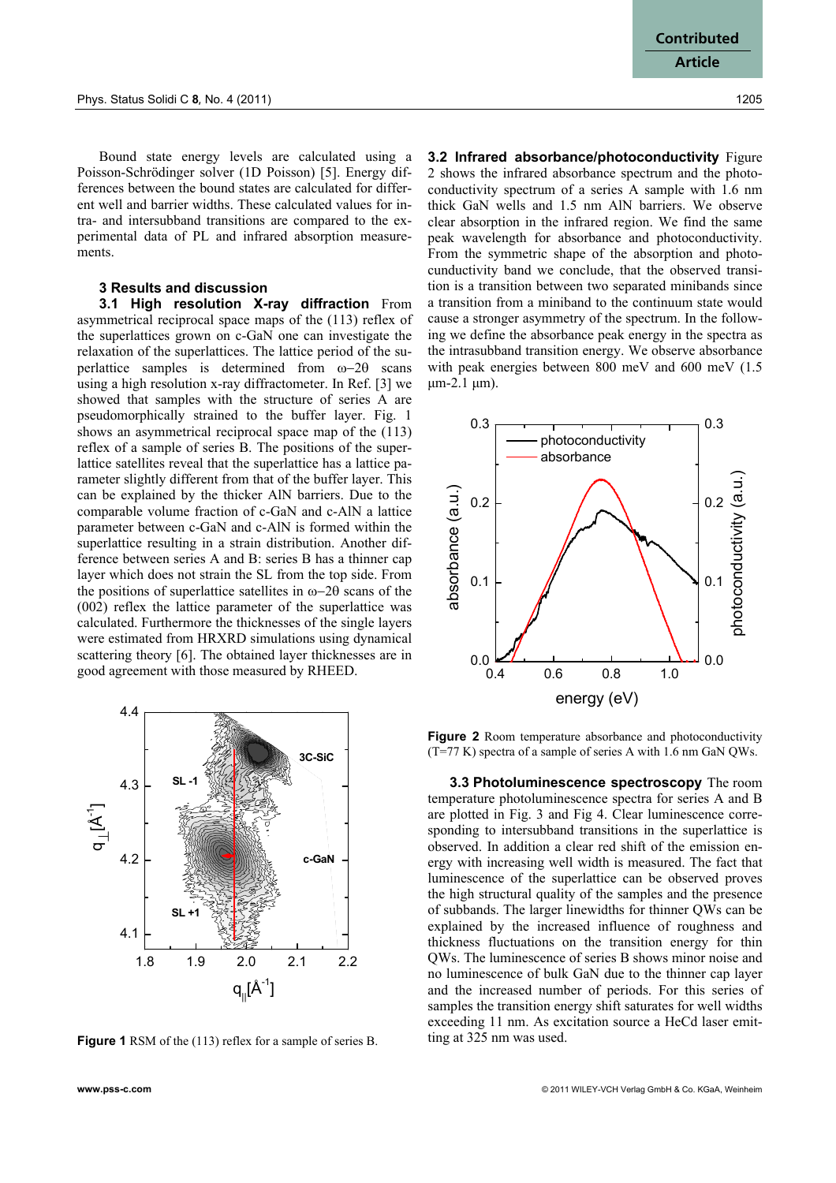Bound state energy levels are calculated using a Poisson-Schrödinger solver (1D Poisson) [5]. Energy differences between the bound states are calculated for different well and barrier widths. These calculated values for intra- and intersubband transitions are compared to the experimental data of PL and infrared absorption measurements.

# **3 Results and discussion**

**3.1 High resolution X-ray diffraction** From asymmetrical reciprocal space maps of the (113) reflex of the superlattices grown on c-GaN one can investigate the relaxation of the superlattices. The lattice period of the superlattice samples is determined from ω−2θ scans using a high resolution x-ray diffractometer. In Ref. [3] we showed that samples with the structure of series A are pseudomorphically strained to the buffer layer. Fig. 1 shows an asymmetrical reciprocal space map of the (113) reflex of a sample of series B. The positions of the superlattice satellites reveal that the superlattice has a lattice parameter slightly different from that of the buffer layer. This can be explained by the thicker AlN barriers. Due to the comparable volume fraction of c-GaN and c-AlN a lattice parameter between c-GaN and c-AlN is formed within the superlattice resulting in a strain distribution. Another difference between series A and B: series B has a thinner cap layer which does not strain the SL from the top side. From the positions of superlattice satellites in ω−2θ scans of the (002) reflex the lattice parameter of the superlattice was calculated. Furthermore the thicknesses of the single layers were estimated from HRXRD simulations using dynamical scattering theory [6]. The obtained layer thicknesses are in good agreement with those measured by RHEED.



**Figure 1** RSM of the (113) reflex for a sample of series B.

**3.2 Infrared absorbance/photoconductivity** Figure 2 shows the infrared absorbance spectrum and the photoconductivity spectrum of a series A sample with 1.6 nm thick GaN wells and 1.5 nm AlN barriers. We observe clear absorption in the infrared region. We find the same peak wavelength for absorbance and photoconductivity. From the symmetric shape of the absorption and photocunductivity band we conclude, that the observed transition is a transition between two separated minibands since a transition from a miniband to the continuum state would cause a stronger asymmetry of the spectrum. In the following we define the absorbance peak energy in the spectra as the intrasubband transition energy. We observe absorbance with peak energies between 800 meV and 600 meV (1.5) μm-2.1 μm).



**Figure 2** Room temperature absorbance and photoconductivity (T=77 K) spectra of a sample of series A with 1.6 nm GaN QWs.

**3.3 Photoluminescence spectroscopy** The room temperature photoluminescence spectra for series A and B are plotted in Fig. 3 and Fig 4. Clear luminescence corresponding to intersubband transitions in the superlattice is observed. In addition a clear red shift of the emission energy with increasing well width is measured. The fact that luminescence of the superlattice can be observed proves the high structural quality of the samples and the presence of subbands. The larger linewidths for thinner QWs can be explained by the increased influence of roughness and thickness fluctuations on the transition energy for thin QWs. The luminescence of series B shows minor noise and no luminescence of bulk GaN due to the thinner cap layer and the increased number of periods. For this series of samples the transition energy shift saturates for well widths exceeding 11 nm. As excitation source a HeCd laser emitting at 325 nm was used.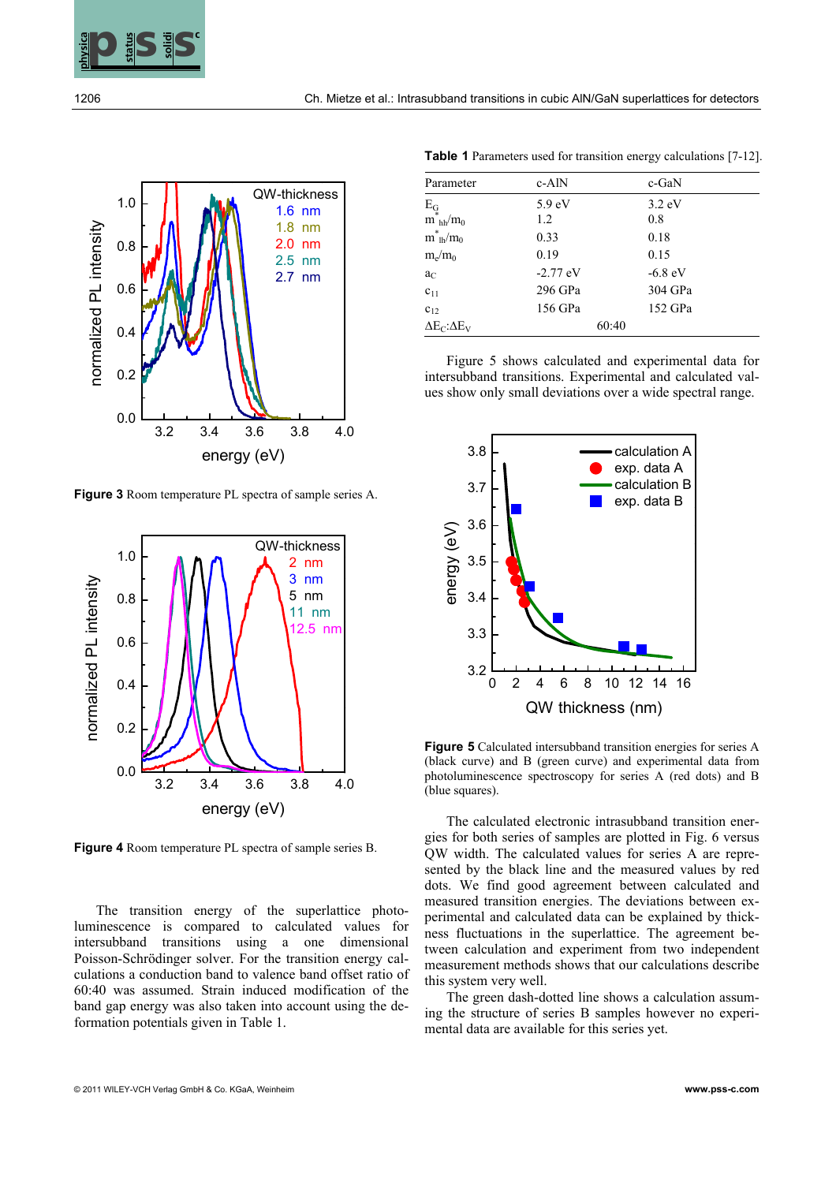

1206 Ch. Mietze et al.: Intrasubband transitions in cubic AlN/GaN superlattices for detectors



**Figure 3** Room temperature PL spectra of sample series A.



**Figure 4** Room temperature PL spectra of sample series B.

The transition energy of the superlattice photoluminescence is compared to calculated values for intersubband transitions using a one dimensional Poisson-Schrödinger solver. For the transition energy calculations a conduction band to valence band offset ratio of 60:40 was assumed. Strain induced modification of the band gap energy was also taken into account using the deformation potentials given in Table 1.

**Table 1** Parameters used for transition energy calculations [7-12].

| Parameter                                                       | c-AlN             | c-GaN            |
|-----------------------------------------------------------------|-------------------|------------------|
|                                                                 | 5.9 <sub>eV</sub> | $3.2 \text{ eV}$ |
| $\mathbf{E}_{\mathbf{G}}$ $\mathbf{m}^*_{\ h h} / \mathbf{m}_0$ | 1.2               | 0.8              |
| $m^*_{lh}/m_0$                                                  | 0.33              | 0.18             |
| $m_e/m_0$                                                       | 0.19              | 0.15             |
| $a_C$                                                           | $-2.77$ eV        | $-6.8$ eV        |
| $c_{11}$                                                        | 296 GPa           | 304 GPa          |
| $c_{12}$                                                        | 156 GPa           | 152 GPa          |
| $\Delta E_C$ : $\Delta E_V$                                     | 60:40             |                  |

Figure 5 shows calculated and experimental data for intersubband transitions. Experimental and calculated values show only small deviations over a wide spectral range.



**Figure 5** Calculated intersubband transition energies for series A (black curve) and B (green curve) and experimental data from photoluminescence spectroscopy for series A (red dots) and B (blue squares).

The calculated electronic intrasubband transition energies for both series of samples are plotted in Fig. 6 versus QW width. The calculated values for series A are represented by the black line and the measured values by red dots. We find good agreement between calculated and measured transition energies. The deviations between experimental and calculated data can be explained by thickness fluctuations in the superlattice. The agreement between calculation and experiment from two independent measurement methods shows that our calculations describe this system very well.

The green dash-dotted line shows a calculation assuming the structure of series B samples however no experimental data are available for this series yet.